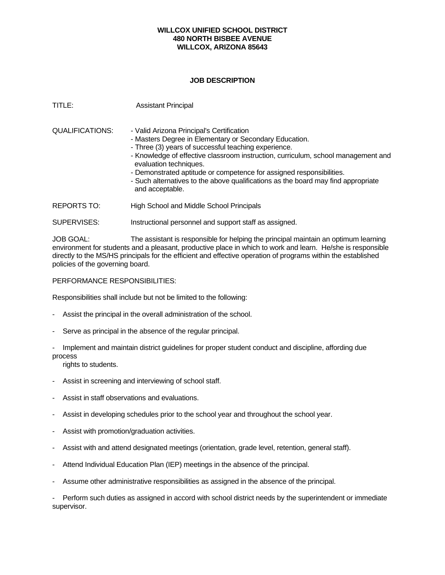#### **WILLCOX UNIFIED SCHOOL DISTRICT 480 NORTH BISBEE AVENUE WILLCOX, ARIZONA 85643**

#### **JOB DESCRIPTION**

| TITLE:          | <b>Assistant Principal</b>                                                                                                                                                                                                                                                                                                                                                                                                                                 |
|-----------------|------------------------------------------------------------------------------------------------------------------------------------------------------------------------------------------------------------------------------------------------------------------------------------------------------------------------------------------------------------------------------------------------------------------------------------------------------------|
| QUALIFICATIONS: | - Valid Arizona Principal's Certification<br>- Masters Degree in Elementary or Secondary Education.<br>- Three (3) years of successful teaching experience.<br>- Knowledge of effective classroom instruction, curriculum, school management and<br>evaluation techniques.<br>- Demonstrated aptitude or competence for assigned responsibilities.<br>- Such alternatives to the above qualifications as the board may find appropriate<br>and acceptable. |
| REPORTS TO:     | High School and Middle School Principals                                                                                                                                                                                                                                                                                                                                                                                                                   |

SUPERVISES: Instructional personnel and support staff as assigned.

JOB GOAL: The assistant is responsible for helping the principal maintain an optimum learning environment for students and a pleasant, productive place in which to work and learn. He/she is responsible directly to the MS/HS principals for the efficient and effective operation of programs within the established policies of the governing board.

#### PERFORMANCE RESPONSIBILITIES:

Responsibilities shall include but not be limited to the following:

- Assist the principal in the overall administration of the school.
- Serve as principal in the absence of the regular principal.
- Implement and maintain district guidelines for proper student conduct and discipline, affording due process

rights to students.

- Assist in screening and interviewing of school staff.
- Assist in staff observations and evaluations.
- Assist in developing schedules prior to the school year and throughout the school year.
- Assist with promotion/graduation activities.
- Assist with and attend designated meetings (orientation, grade level, retention, general staff).
- Attend Individual Education Plan (IEP) meetings in the absence of the principal.
- Assume other administrative responsibilities as assigned in the absence of the principal.

Perform such duties as assigned in accord with school district needs by the superintendent or immediate supervisor.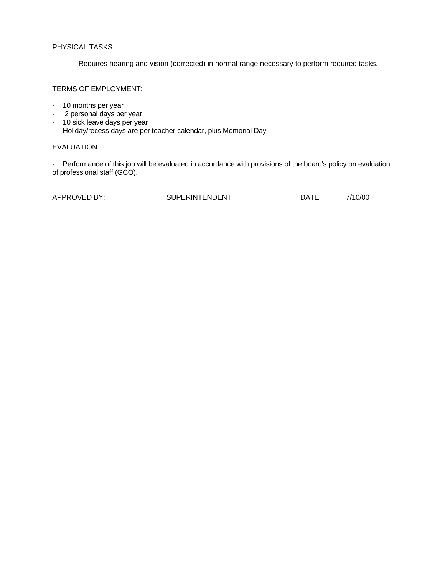#### PHYSICAL TASKS:

Requires hearing and vision (corrected) in normal range necessary to perform required tasks.

#### TERMS OF EMPLOYMENT:

- 10 months per year
- 2 personal days per year
- 10 sick leave days per year
- Holiday/recess days are per teacher calendar, plus Memorial Day

#### EVALUATION:

- Performance of this job will be evaluated in accordance with provisions of the board's policy on evaluation of professional staff (GCO).

| APPROVED BY: | SUPERINTENDENT | DATE. | 7/10/00 |
|--------------|----------------|-------|---------|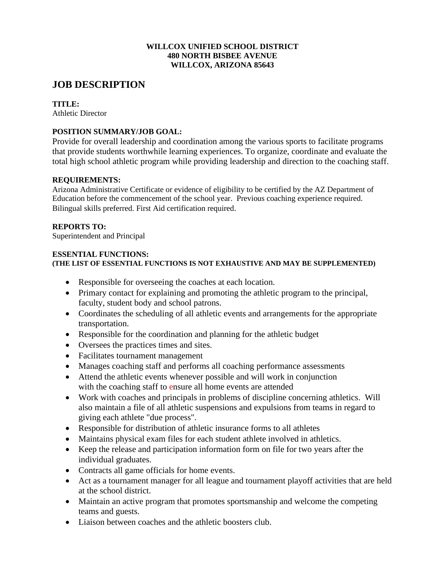#### **WILLCOX UNIFIED SCHOOL DISTRICT 480 NORTH BISBEE AVENUE WILLCOX, ARIZONA 85643**

## **JOB DESCRIPTION**

#### **TITLE:**

Athletic Director

## **POSITION SUMMARY/JOB GOAL:**

Provide for overall leadership and coordination among the various sports to facilitate programs that provide students worthwhile learning experiences. To organize, coordinate and evaluate the total high school athletic program while providing leadership and direction to the coaching staff.

## **REQUIREMENTS:**

Arizona Administrative Certificate or evidence of eligibility to be certified by the AZ Department of Education before the commencement of the school year. Previous coaching experience required. Bilingual skills preferred. First Aid certification required.

#### **REPORTS TO:**

Superintendent and Principal

#### **ESSENTIAL FUNCTIONS: (THE LIST OF ESSENTIAL FUNCTIONS IS NOT EXHAUSTIVE AND MAY BE SUPPLEMENTED)**

- Responsible for overseeing the coaches at each location.
- Primary contact for explaining and promoting the athletic program to the principal, faculty, student body and school patrons.
- Coordinates the scheduling of all athletic events and arrangements for the appropriate transportation.
- Responsible for the coordination and planning for the athletic budget
- Oversees the practices times and sites.
- Facilitates tournament management
- Manages coaching staff and performs all coaching performance assessments
- Attend the athletic events whenever possible and will work in conjunction with the coaching staff to ensure all home events are attended
- Work with coaches and principals in problems of discipline concerning athletics. Will also maintain a file of all athletic suspensions and expulsions from teams in regard to giving each athlete "due process".
- Responsible for distribution of athletic insurance forms to all athletes
- Maintains physical exam files for each student athlete involved in athletics.
- Keep the release and participation information form on file for two years after the individual graduates.
- Contracts all game officials for home events.
- Act as a tournament manager for all league and tournament playoff activities that are held at the school district.
- Maintain an active program that promotes sportsmanship and welcome the competing teams and guests.
- Liaison between coaches and the athletic boosters club.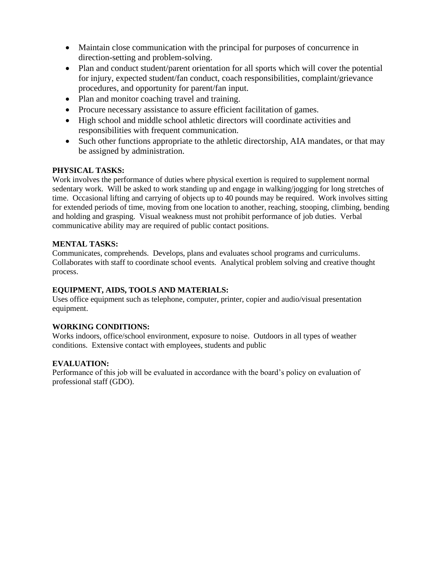- Maintain close communication with the principal for purposes of concurrence in direction-setting and problem-solving.
- Plan and conduct student/parent orientation for all sports which will cover the potential for injury, expected student/fan conduct, coach responsibilities, complaint/grievance procedures, and opportunity for parent/fan input.
- Plan and monitor coaching travel and training.
- Procure necessary assistance to assure efficient facilitation of games.
- High school and middle school athletic directors will coordinate activities and responsibilities with frequent communication.
- Such other functions appropriate to the athletic directorship, AIA mandates, or that may be assigned by administration.

## **PHYSICAL TASKS:**

Work involves the performance of duties where physical exertion is required to supplement normal sedentary work. Will be asked to work standing up and engage in walking/jogging for long stretches of time. Occasional lifting and carrying of objects up to 40 pounds may be required. Work involves sitting for extended periods of time, moving from one location to another, reaching, stooping, climbing, bending and holding and grasping. Visual weakness must not prohibit performance of job duties. Verbal communicative ability may are required of public contact positions.

## **MENTAL TASKS:**

Communicates, comprehends. Develops, plans and evaluates school programs and curriculums. Collaborates with staff to coordinate school events. Analytical problem solving and creative thought process.

## **EQUIPMENT, AIDS, TOOLS AND MATERIALS:**

Uses office equipment such as telephone, computer, printer, copier and audio/visual presentation equipment.

## **WORKING CONDITIONS:**

Works indoors, office/school environment, exposure to noise. Outdoors in all types of weather conditions. Extensive contact with employees, students and public

## **EVALUATION:**

Performance of this job will be evaluated in accordance with the board's policy on evaluation of professional staff (GDO).